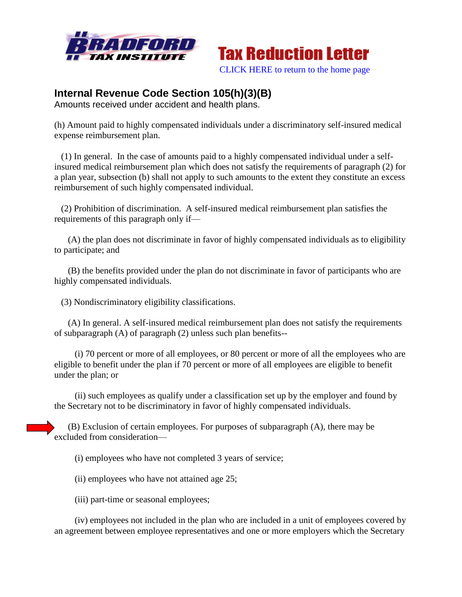



## **Internal Revenue Code Section 105(h)(3)(B)**

Amounts received under accident and health plans.

(h) Amount paid to highly compensated individuals under a discriminatory self-insured medical expense reimbursement plan.

 (1) In general. In the case of amounts paid to a highly compensated individual under a selfinsured medical reimbursement plan which does not satisfy the requirements of paragraph (2) for a plan year, subsection (b) shall not apply to such amounts to the extent they constitute an excess reimbursement of such highly compensated individual.

 (2) Prohibition of discrimination. A self-insured medical reimbursement plan satisfies the requirements of this paragraph only if—

 (A) the plan does not discriminate in favor of highly compensated individuals as to eligibility to participate; and

 (B) the benefits provided under the plan do not discriminate in favor of participants who are highly compensated individuals.

(3) Nondiscriminatory eligibility classifications.

 (A) In general. A self-insured medical reimbursement plan does not satisfy the requirements of subparagraph (A) of paragraph (2) unless such plan benefits--

 (i) 70 percent or more of all employees, or 80 percent or more of all the employees who are eligible to benefit under the plan if 70 percent or more of all employees are eligible to benefit under the plan; or

 (ii) such employees as qualify under a classification set up by the employer and found by the Secretary not to be discriminatory in favor of highly compensated individuals.

 (B) Exclusion of certain employees. For purposes of subparagraph (A), there may be excluded from consideration—

(i) employees who have not completed 3 years of service;

(ii) employees who have not attained age 25;

(iii) part-time or seasonal employees;

 (iv) employees not included in the plan who are included in a unit of employees covered by an agreement between employee representatives and one or more employers which the Secretary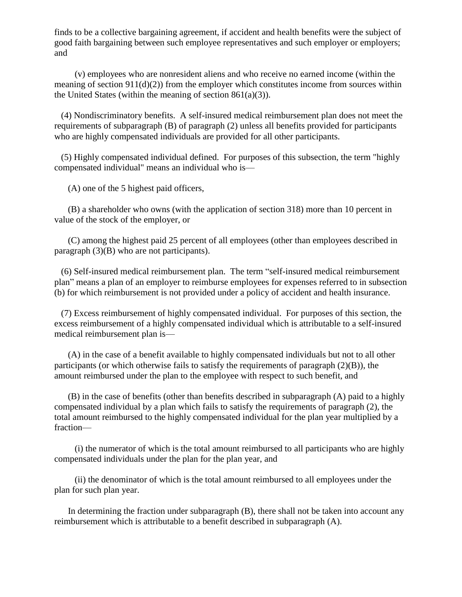finds to be a collective bargaining agreement, if accident and health benefits were the subject of good faith bargaining between such employee representatives and such employer or employers; and

 (v) employees who are nonresident aliens and who receive no earned income (within the meaning of section  $911(d)(2)$  from the employer which constitutes income from sources within the United States (within the meaning of section  $861(a)(3)$ ).

 (4) Nondiscriminatory benefits. A self-insured medical reimbursement plan does not meet the requirements of subparagraph (B) of paragraph (2) unless all benefits provided for participants who are highly compensated individuals are provided for all other participants.

 (5) Highly compensated individual defined. For purposes of this subsection, the term "highly compensated individual" means an individual who is—

(A) one of the 5 highest paid officers,

 (B) a shareholder who owns (with the application of section 318) more than 10 percent in value of the stock of the employer, or

 (C) among the highest paid 25 percent of all employees (other than employees described in paragraph (3)(B) who are not participants).

 (6) Self-insured medical reimbursement plan. The term "self-insured medical reimbursement plan" means a plan of an employer to reimburse employees for expenses referred to in subsection (b) for which reimbursement is not provided under a policy of accident and health insurance.

 (7) Excess reimbursement of highly compensated individual. For purposes of this section, the excess reimbursement of a highly compensated individual which is attributable to a self-insured medical reimbursement plan is—

 (A) in the case of a benefit available to highly compensated individuals but not to all other participants (or which otherwise fails to satisfy the requirements of paragraph  $(2)(B)$ ), the amount reimbursed under the plan to the employee with respect to such benefit, and

 (B) in the case of benefits (other than benefits described in subparagraph (A) paid to a highly compensated individual by a plan which fails to satisfy the requirements of paragraph (2), the total amount reimbursed to the highly compensated individual for the plan year multiplied by a fraction—

 (i) the numerator of which is the total amount reimbursed to all participants who are highly compensated individuals under the plan for the plan year, and

 (ii) the denominator of which is the total amount reimbursed to all employees under the plan for such plan year.

 In determining the fraction under subparagraph (B), there shall not be taken into account any reimbursement which is attributable to a benefit described in subparagraph (A).